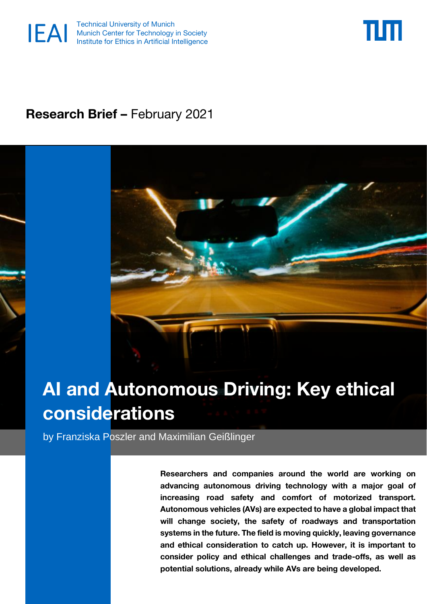



# **Research Brief –** February 2021



# **AI and Autonomous Driving: Key ethical considerations**

by Franziska Poszler and Maximilian Geißlinger

**Researchers and companies around the world are working on advancing autonomous driving technology with a major goal of increasing road safety and comfort of motorized transport. Autonomous vehicles (AVs) are expected to have a global impact that will change society, the safety of roadways and transportation systems in the future. The field is moving quickly, leaving governance and ethical consideration to catch up. However, it is important to consider policy and ethical challenges and trade-offs, as well as potential solutions, already while AVs are being developed.**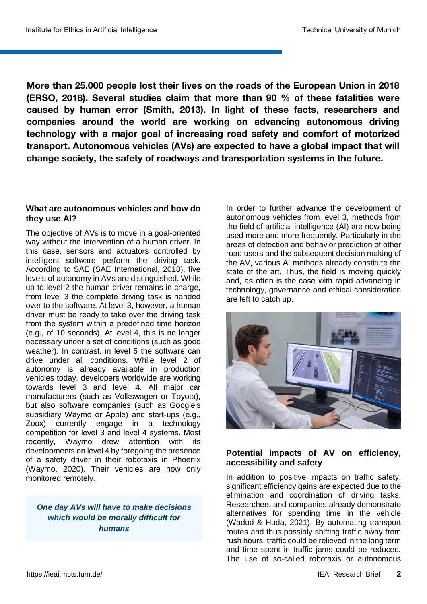**More than 25.000 people lost their lives on the roads of the European Union in 2018 (ERSO, 2018). Several studies claim that more than 90 % of these fatalities were caused by human error (Smith, 2013). In light of these facts, researchers and companies around the world are working on advancing autonomous driving technology with a major goal of increasing road safety and comfort of motorized transport. Autonomous vehicles (AVs) are expected to have a global impact that will change society, the safety of roadways and transportation systems in the future.**

#### **What are autonomous vehicles and how do they use AI?**

The objective of AVs is to move in a goal-oriented way without the intervention of a human driver. In this case, sensors and actuators controlled by intelligent software perform the driving task. According to SAE (SAE International, 2018), five levels of autonomy in AVs are distinguished. While up to level 2 the human driver remains in charge, from level 3 the complete driving task is handed over to the software. At level 3, however, a human driver must be ready to take over the driving task from the system within a predefined time horizon (e.g., of 10 seconds). At level 4, this is no longer necessary under a set of conditions (such as good weather). In contrast, in level 5 the software can drive under all conditions. While level 2 of autonomy is already available in production vehicles today, developers worldwide are working towards level 3 and level 4. All major car manufacturers (such as Volkswagen or Toyota), but also software companies (such as Google's subsidiary Waymo or Apple) and start-ups (e.g., Zoox) currently engage in a technology competition for level 3 and level 4 systems. Most recently, Waymo drew attention with its developments on level 4 by foregoing the presence of a safety driver in their robotaxis in Phoenix (Waymo, 2020). Their vehicles are now only monitored remotely.

#### *One day AVs will have to make decisions which would be morally difficult for humans*

In order to further advance the development of autonomous vehicles from level 3, methods from the field of artificial intelligence (AI) are now being used more and more frequently. Particularly in the areas of detection and behavior prediction of other road users and the subsequent decision making of the AV, various AI methods already constitute the state of the art. Thus, the field is moving quickly and, as often is the case with rapid advancing in technology, governance and ethical consideration are left to catch up.



# **Potential impacts of AV on efficiency, accessibility and safety**

In addition to positive impacts on traffic safety, significant efficiency gains are expected due to the elimination and coordination of driving tasks. Researchers and companies already demonstrate alternatives for spending time in the vehicle (Wadud & Huda, 2021). By automating transport routes and thus possibly shifting traffic away from rush hours, traffic could be relieved in the long term and time spent in traffic jams could be reduced. The use of so-called robotaxis or autonomous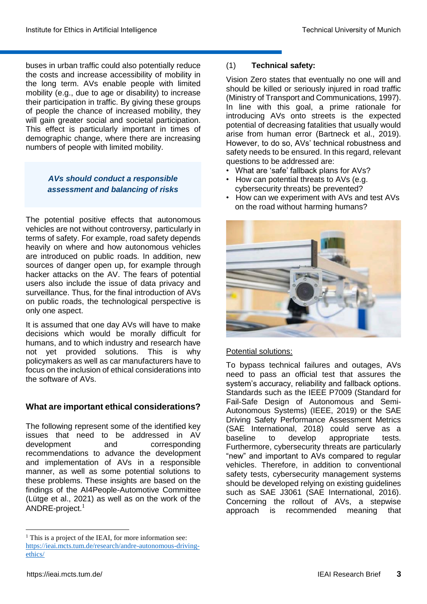buses in urban traffic could also potentially reduce the costs and increase accessibility of mobility in the long term. AVs enable people with limited mobility (e.g., due to age or disability) to increase their participation in traffic. By giving these groups of people the chance of increased mobility, they will gain greater social and societal participation. This effect is particularly important in times of demographic change, where there are increasing numbers of people with limited mobility.

> *AVs should conduct a responsible assessment and balancing of risks*

The potential positive effects that autonomous vehicles are not without controversy, particularly in terms of safety. For example, road safety depends heavily on where and how autonomous vehicles are introduced on public roads. In addition, new sources of danger open up, for example through hacker attacks on the AV. The fears of potential users also include the issue of data privacy and surveillance. Thus, for the final introduction of AVs on public roads, the technological perspective is only one aspect.

It is assumed that one day AVs will have to make decisions which would be morally difficult for humans, and to which industry and research have not yet provided solutions. This is why policymakers as well as car manufacturers have to focus on the inclusion of ethical considerations into the software of AVs.

# **What are important ethical considerations?**

The following represent some of the identified key issues that need to be addressed in AV development and corresponding recommendations to advance the development and implementation of AVs in a responsible manner, as well as some potential solutions to these problems. These insights are based on the findings of the AI4People-Automotive Committee (Lütge et al., 2021) as well as on the work of the  $ANDRE$ -project.<sup>1</sup>

# (1) **Technical safety:**

Vision Zero states that eventually no one will and should be killed or seriously injured in road traffic (Ministry of Transport and Communications, 1997). In line with this goal, a prime rationale for introducing AVs onto streets is the expected potential of decreasing fatalities that usually would arise from human error (Bartneck et al., 2019). However, to do so, AVs' technical robustness and safety needs to be ensured. In this regard, relevant questions to be addressed are:

- What are 'safe' fallback plans for AVs?
- How can potential threats to AVs (e.g. cybersecurity threats) be prevented?
- How can we experiment with AVs and test AVs on the road without harming humans?



# Potential solutions:

To bypass technical failures and outages, AVs need to pass an official test that assures the system's accuracy, reliability and fallback options. Standards such as the IEEE P7009 (Standard for Fail-Safe Design of Autonomous and Semi-Autonomous Systems) (IEEE, 2019) or the SAE Driving Safety Performance Assessment Metrics (SAE International, 2018) could serve as a baseline to develop appropriate tests. Furthermore, cybersecurity threats are particularly "new" and important to AVs compared to regular vehicles. Therefore, in addition to conventional safety tests, cybersecurity management systems should be developed relying on existing guidelines such as SAE J3061 (SAE International, 2016). Concerning the rollout of AVs, a stepwise approach is recommended meaning that

**.** 

<sup>&</sup>lt;sup>1</sup> This is a project of the IEAI, for more information see: [https://ieai.mcts.tum.de/research/andre-autonomous-driving](https://ieai.mcts.tum.de/research/andre-autonomous-driving-ethics/)[ethics/](https://ieai.mcts.tum.de/research/andre-autonomous-driving-ethics/)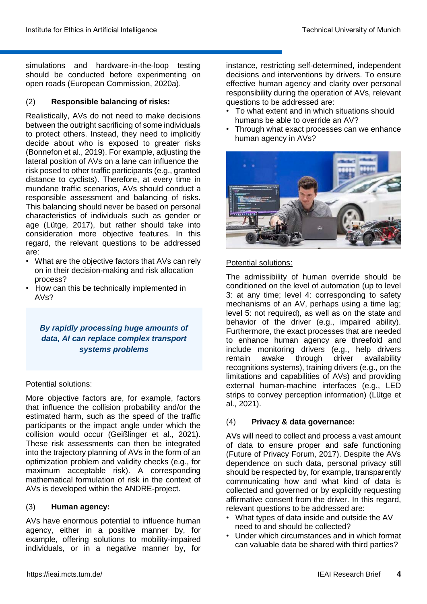simulations and hardware-in-the-loop testing should be conducted before experimenting on open roads (European Commission, 2020a).

# (2) **Responsible balancing of risks:**

Realistically, AVs do not need to make decisions between the outright sacrificing of some individuals to protect others. Instead, they need to implicitly decide about who is exposed to greater risks (Bonnefon et al., 2019). For example, adjusting the lateral position of AVs on a lane can influence the risk posed to other traffic participants (e.g., granted distance to cyclists). Therefore, at every time in mundane traffic scenarios, AVs should conduct a responsible assessment and balancing of risks. This balancing should never be based on personal characteristics of individuals such as gender or age (Lütge, 2017), but rather should take into consideration more objective features. In this regard, the relevant questions to be addressed are:

- What are the objective factors that AVs can rely on in their decision-making and risk allocation process?
- How can this be technically implemented in AVs?

# *By rapidly processing huge amounts of data, AI can replace complex transport systems problems*

# Potential solutions:

More objective factors are, for example, factors that influence the collision probability and/or the estimated harm, such as the speed of the traffic participants or the impact angle under which the collision would occur (Geißlinger et al., 2021). These risk assessments can then be integrated into the trajectory planning of AVs in the form of an optimization problem and validity checks (e.g., for maximum acceptable risk). A corresponding mathematical formulation of risk in the context of AVs is developed within the ANDRE-project.

#### (3) **Human agency:**

AVs have enormous potential to influence human agency, either in a positive manner by, for example, offering solutions to mobility-impaired individuals, or in a negative manner by, for instance, restricting self-determined, independent decisions and interventions by drivers. To ensure effective human agency and clarity over personal responsibility during the operation of AVs, relevant questions to be addressed are:

- To what extent and in which situations should humans be able to override an AV?
- Through what exact processes can we enhance human agency in AVs?



# Potential solutions:

The admissibility of human override should be conditioned on the level of automation (up to level 3: at any time; level 4: corresponding to safety mechanisms of an AV, perhaps using a time lag; level 5: not required), as well as on the state and behavior of the driver (e.g., impaired ability). Furthermore, the exact processes that are needed to enhance human agency are threefold and include monitoring drivers (e.g., help drivers remain awake through driver availability recognitions systems), training drivers (e.g., on the limitations and capabilities of AVs) and providing external human-machine interfaces (e.g., LED strips to convey perception information) (Lütge et al., 2021).

# (4) **Privacy & data governance:**

AVs will need to collect and process a vast amount of data to ensure proper and safe functioning (Future of Privacy Forum, 2017). Despite the AVs dependence on such data, personal privacy still should be respected by, for example, transparently communicating how and what kind of data is collected and governed or by explicitly requesting affirmative consent from the driver. In this regard, relevant questions to be addressed are:

- What types of data inside and outside the AV need to and should be collected?
- Under which circumstances and in which format can valuable data be shared with third parties?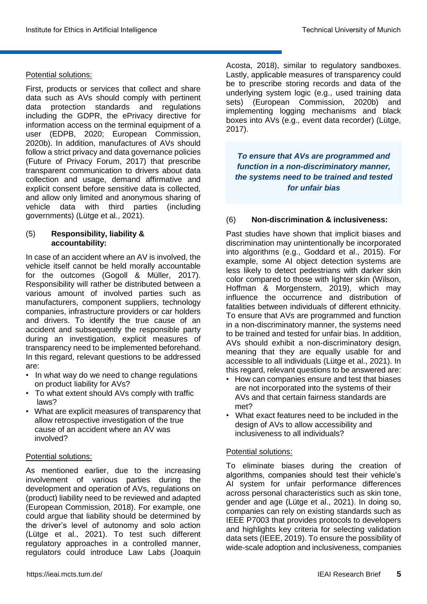#### Potential solutions:

First, products or services that collect and share data such as AVs should comply with pertinent data protection standards and regulations including the GDPR, the ePrivacy directive for information access on the terminal equipment of a user (EDPB, 2020; European Commission, 2020b). In addition, manufactures of AVs should follow a strict privacy and data governance policies (Future of Privacy Forum, 2017) that prescribe transparent communication to drivers about data collection and usage, demand affirmative and explicit consent before sensitive data is collected, and allow only limited and anonymous sharing of vehicle data with third parties (including governments) (Lütge et al., 2021).

#### (5) **Responsibility, liability & accountability:**

In case of an accident where an AV is involved, the vehicle itself cannot be held morally accountable for the outcomes (Gogoll & Müller, 2017). Responsibility will rather be distributed between a various amount of involved parties such as manufacturers, component suppliers, technology companies, infrastructure providers or car holders and drivers. To identify the true cause of an accident and subsequently the responsible party during an investigation, explicit measures of transparency need to be implemented beforehand. In this regard, relevant questions to be addressed are:

- In what way do we need to change regulations on product liability for AVs?
- To what extent should AVs comply with traffic laws?
- What are explicit measures of transparency that allow retrospective investigation of the true cause of an accident where an AV was involved?

#### Potential solutions:

As mentioned earlier, due to the increasing involvement of various parties during the development and operation of AVs, regulations on (product) liability need to be reviewed and adapted (European Commission, 2018). For example, one could argue that liability should be determined by the driver's level of autonomy and solo action (Lütge et al., 2021). To test such different regulatory approaches in a controlled manner, regulators could introduce Law Labs (Joaquin

Acosta, 2018), similar to regulatory sandboxes. Lastly, applicable measures of transparency could be to prescribe storing records and data of the underlying system logic (e.g., used training data sets) (European Commission, 2020b) and implementing logging mechanisms and black boxes into AVs (e.g., event data recorder) (Lütge, 2017).

*To ensure that AVs are programmed and function in a non-discriminatory manner, the systems need to be trained and tested for unfair bias*

#### (6) **Non-discrimination & inclusiveness:**

Past studies have shown that implicit biases and discrimination may unintentionally be incorporated into algorithms (e.g., Goddard et al., 2015). For example, some AI object detection systems are less likely to detect pedestrians with darker skin color compared to those with lighter skin (Wilson, Hoffman & Morgenstern, 2019), which may influence the occurrence and distribution of fatalities between individuals of different ethnicity. To ensure that AVs are programmed and function in a non-discriminatory manner, the systems need to be trained and tested for unfair bias. In addition, AVs should exhibit a non-discriminatory design, meaning that they are equally usable for and accessible to all individuals (Lütge et al., 2021). In this regard, relevant questions to be answered are:

- How can companies ensure and test that biases are not incorporated into the systems of their AVs and that certain fairness standards are met?
- What exact features need to be included in the design of AVs to allow accessibility and inclusiveness to all individuals?

#### Potential solutions:

To eliminate biases during the creation of algorithms, companies should test their vehicle's AI system for unfair performance differences across personal characteristics such as skin tone, gender and age (Lütge et al., 2021). In doing so, companies can rely on existing standards such as IEEE P7003 that provides protocols to developers and highlights key criteria for selecting validation data sets (IEEE, 2019). To ensure the possibility of wide-scale adoption and inclusiveness, companies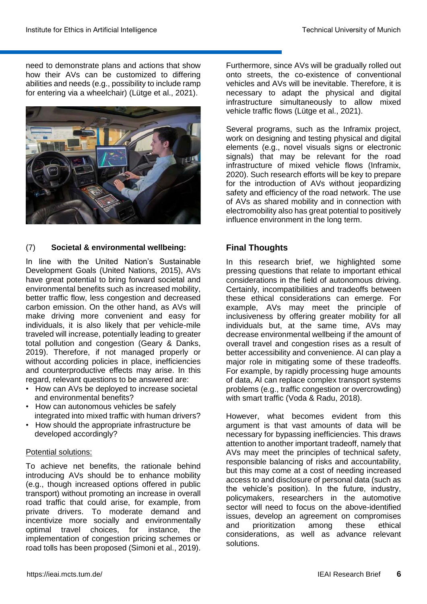need to demonstrate plans and actions that show how their AVs can be customized to differing abilities and needs (e.g., possibility to include ramp for entering via a wheelchair) (Lütge et al., 2021).



# (7) **Societal & environmental wellbeing:**

In line with the United Nation's Sustainable Development Goals (United Nations, 2015), AVs have great potential to bring forward societal and environmental benefits such as increased mobility, better traffic flow, less congestion and decreased carbon emission. On the other hand, as AVs will make driving more convenient and easy for individuals, it is also likely that per vehicle-mile traveled will increase, potentially leading to greater total pollution and congestion (Geary & Danks, 2019). Therefore, if not managed properly or without according policies in place, inefficiencies and counterproductive effects may arise. In this regard, relevant questions to be answered are:

- How can AVs be deployed to increase societal and environmental benefits?
- How can autonomous vehicles be safely integrated into mixed traffic with human drivers?
- How should the appropriate infrastructure be developed accordingly?

#### Potential solutions:

To achieve net benefits, the rationale behind introducing AVs should be to enhance mobility (e.g., though increased options offered in public transport) without promoting an increase in overall road traffic that could arise, for example, from private drivers. To moderate demand and incentivize more socially and environmentally optimal travel choices, for instance, the implementation of congestion pricing schemes or road tolls has been proposed (Simoni et al., 2019).

Furthermore, since AVs will be gradually rolled out onto streets, the co-existence of conventional vehicles and AVs will be inevitable. Therefore, it is necessary to adapt the physical and digital infrastructure simultaneously to allow mixed vehicle traffic flows (Lütge et al., 2021).

Several programs, such as the Inframix project, work on designing and testing physical and digital elements (e.g., novel visuals signs or electronic signals) that may be relevant for the road infrastructure of mixed vehicle flows (Inframix, 2020). Such research efforts will be key to prepare for the introduction of AVs without jeopardizing safety and efficiency of the road network. The use of AVs as shared mobility and in connection with electromobility also has great potential to positively influence environment in the long term.

# **Final Thoughts**

In this research brief, we highlighted some pressing questions that relate to important ethical considerations in the field of autonomous driving. Certainly, incompatibilities and tradeoffs between these ethical considerations can emerge. For example, AVs may meet the principle of inclusiveness by offering greater mobility for all individuals but, at the same time, AVs may decrease environmental wellbeing if the amount of overall travel and congestion rises as a result of better accessibility and convenience. AI can play a major role in mitigating some of these tradeoffs. For example, by rapidly processing huge amounts of data, AI can replace complex transport systems problems (e.g., traffic congestion or overcrowding) with smart traffic (Voda & Radu, 2018).

However, what becomes evident from this argument is that vast amounts of data will be necessary for bypassing inefficiencies. This draws attention to another important tradeoff, namely that AVs may meet the principles of technical safety, responsible balancing of risks and accountability, but this may come at a cost of needing increased access to and disclosure of personal data (such as the vehicle's position). In the future, industry, policymakers, researchers in the automotive sector will need to focus on the above-identified issues, develop an agreement on compromises and prioritization among these ethical considerations, as well as advance relevant solutions.